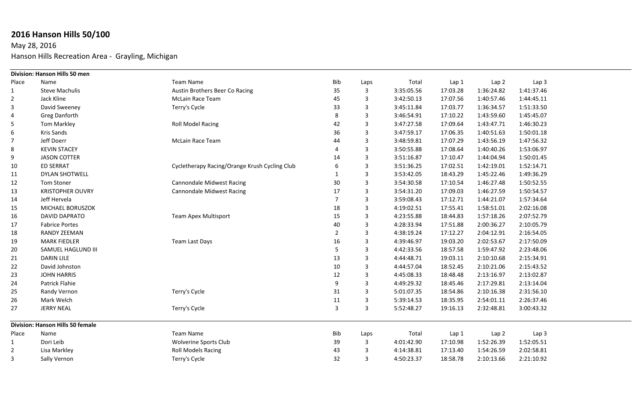## **2016 Hanson Hills 50/100**

May 28, 2016Hanson Hills Recreation Area - Grayling, Michigan

|                | Division: Hanson Hills 50 men           |                                               |                |      |            |          |                  |                  |
|----------------|-----------------------------------------|-----------------------------------------------|----------------|------|------------|----------|------------------|------------------|
| Place          | Name                                    | <b>Team Name</b>                              | Bib            | Laps | Total      | Lap 1    | Lap <sub>2</sub> | Lap <sub>3</sub> |
| $\mathbf{1}$   | <b>Steve Machulis</b>                   | Austin Brothers Beer Co Racing                | 35             | 3    | 3:35:05.56 | 17:03.28 | 1:36:24.82       | 1:41:37.46       |
| $\overline{2}$ | Jack Kline                              | <b>McLain Race Team</b>                       | 45             |      | 3:42:50.13 | 17:07.56 | 1:40:57.46       | 1:44:45.11       |
| 3              | David Sweeney                           | Terry's Cycle                                 | 33             |      | 3:45:11.84 | 17:03.77 | 1:36:34.57       | 1:51:33.50       |
| 4              | Greg Danforth                           |                                               | 8              |      | 3:46:54.91 | 17:10.22 | 1:43:59.60       | 1:45:45.07       |
| 5              | <b>Tom Markley</b>                      | <b>Roll Model Racing</b>                      | 42             | 3    | 3:47:27.58 | 17:09.64 | 1:43:47.71       | 1:46:30.23       |
| 6              | Kris Sands                              |                                               | 36             | 3    | 3:47:59.17 | 17:06.35 | 1:40:51.63       | 1:50:01.18       |
| 7              | Jeff Doerr                              | <b>McLain Race Team</b>                       | 44             |      | 3:48:59.81 | 17:07.29 | 1:43:56.19       | 1:47:56.32       |
| 8              | <b>KEVIN STACEY</b>                     |                                               | 4              | 3    | 3:50:55.88 | 17:08.64 | 1:40:40.26       | 1:53:06.97       |
| 9              | <b>JASON COTTER</b>                     |                                               | 14             | 3    | 3:51:16.87 | 17:10.47 | 1:44:04.94       | 1:50:01.45       |
| 10             | <b>ED SERRAT</b>                        | Cycletherapy Racing/Orange Krush Cycling Club | 6              | 3    | 3:51:36.25 | 17:02.51 | 1:42:19.01       | 1:52:14.71       |
| 11             | <b>DYLAN SHOTWELL</b>                   |                                               |                | 3    | 3:53:42.05 | 18:43.29 | 1:45:22.46       | 1:49:36.29       |
| 12             | <b>Tom Stoner</b>                       | <b>Cannondale Midwest Racing</b>              | 30             | 3    | 3:54:30.58 | 17:10.54 | 1:46:27.48       | 1:50:52.55       |
| 13             | <b>KRISTOPHER OUVRY</b>                 | <b>Cannondale Midwest Racing</b>              | 17             | 3    | 3:54:31.20 | 17:09.03 | 1:46:27.59       | 1:50:54.57       |
| 14             | Jeff Hervela                            |                                               | 7              |      | 3:59:08.43 | 17:12.71 | 1:44:21.07       | 1:57:34.64       |
| 15             | <b>MICHAEL BORUSZOK</b>                 |                                               | 18             | 3    | 4:19:02.51 | 17:55.41 | 1:58:51.01       | 2:02:16.08       |
| 16             | <b>DAVID DAPRATO</b>                    | <b>Team Apex Multisport</b>                   | 15             | 3    | 4:23:55.88 | 18:44.83 | 1:57:18.26       | 2:07:52.79       |
| 17             | <b>Fabrice Portes</b>                   |                                               | 40             |      | 4:28:33.94 | 17:51.88 | 2:00:36.27       | 2:10:05.79       |
| 18             | RANDY ZEEMAN                            |                                               | $\overline{2}$ | 3    | 4:38:19.24 | 17:12.27 | 2:04:12.91       | 2:16:54.05       |
| 19             | <b>MARK FIEDLER</b>                     | <b>Team Last Days</b>                         | 16             |      | 4:39:46.97 | 19:03.20 | 2:02:53.67       | 2:17:50.09       |
| 20             | SAMUEL HAGLUND III                      |                                               | 5              |      | 4:42:33.56 | 18:57.58 | 1:59:47.92       | 2:23:48.06       |
| 21             | <b>DARIN LILE</b>                       |                                               | 13             | 3    | 4:44:48.71 | 19:03.11 | 2:10:10.68       | 2:15:34.91       |
| 22             | David Johnston                          |                                               | 10             | 3    | 4:44:57.04 | 18:52.45 | 2:10:21.06       | 2:15:43.52       |
| 23             | <b>JOHN HARRIS</b>                      |                                               | 12             |      | 4:45:08.33 | 18:48.48 | 2:13:16.97       | 2:13:02.87       |
| 24             | Patrick Flahie                          |                                               | 9              | 3    | 4:49:29.32 | 18:45.46 | 2:17:29.81       | 2:13:14.04       |
| 25             | Randy Vernon                            | Terry's Cycle                                 | 31             | 3    | 5:01:07.35 | 18:54.86 | 2:10:16.38       | 2:31:56.10       |
| 26             | Mark Welch                              |                                               | 11             | 3    | 5:39:14.53 | 18:35.95 | 2:54:01.11       | 2:26:37.46       |
| 27             | <b>JERRY NEAL</b>                       | Terry's Cycle                                 | 3              | 3    | 5:52:48.27 | 19:16.13 | 2:32:48.81       | 3:00:43.32       |
|                | <b>Division: Hanson Hills 50 female</b> |                                               |                |      |            |          |                  |                  |
| Place          | Name                                    | <b>Team Name</b>                              | Bib            | Laps | Total      | Lap 1    | Lap <sub>2</sub> | Lap <sub>3</sub> |
| $\mathbf{1}$   | Dori Leib                               | <b>Wolverine Sports Club</b>                  | 39             | 3    | 4:01:42.90 | 17:10.98 | 1:52:26.39       | 1:52:05.51       |
| $\overline{2}$ | Lisa Markley                            | <b>Roll Models Racing</b>                     | 43             |      | 4:14:38.81 | 17:13.40 | 1:54:26.59       | 2:02:58.81       |
| 3              | Sally Vernon                            | Terry's Cycle                                 | 32             | 3    | 4:50:23.37 | 18:58.78 | 2:10:13.66       | 2:21:10.92       |
|                |                                         |                                               |                |      |            |          |                  |                  |

| Lap <sub>2</sub>             | Lap <sub>3</sub> |
|------------------------------|------------------|
| 1:36:24.82                   | 1:41:37.46       |
| 1:40:57.46                   | 1:44:45.11       |
| 1:36:34.57                   | 1:51:33.50       |
| 1:43:59.60                   | 1:45:45.07       |
| 1:43:47.71                   | 1:46:30.23       |
| 1:40:51.63                   | 1:50:01.18       |
| 1:43:56.19                   | 1:47:56.32       |
| 1:40:40.26                   | 1:53:06.97       |
| 1:44:04.94                   | 1:50:01.45       |
| 1:42:19.01                   | 1:52:14.71       |
| 1:45:22.46                   | 1:49:36.29       |
| 1:46:27.48                   | 1:50:52.55       |
| 1:46:27.59                   | 1:50:54.57       |
| 1:44:21.07                   | 1:57:34.64       |
| 1:58:51.01                   | 2:02:16.08       |
| 1:57:18.26                   | 2:07:52.79       |
| 2:00:36.27                   | 2:10:05.79       |
| 2:04:12.91                   | 2:16:54.05       |
| 2:02:53.67                   | 2:17:50.09       |
| 1:59:47.92                   | 2:23:48.06       |
| 2:10:10.68                   | 2:15:34.91       |
| 2:10:21.06                   | 2:15:43.52       |
| 2:13:16.97                   | 2:13:02.87       |
| 2:17:29.81                   | 2:13:14.04       |
| 2:10:16.38                   | 2:31:56.10       |
| 2:54:01.11                   | 2:26:37.46       |
| 2:32:48.81                   | 3:00:43.32       |
| Lap <sub>2</sub>             | Lap <sub>3</sub> |
| 1:52:26.39                   | 1:52:05.51       |
| 1. $F$ $A$ . $D$ $C$ $F$ $D$ | 0.00.00 מ        |

- 
-